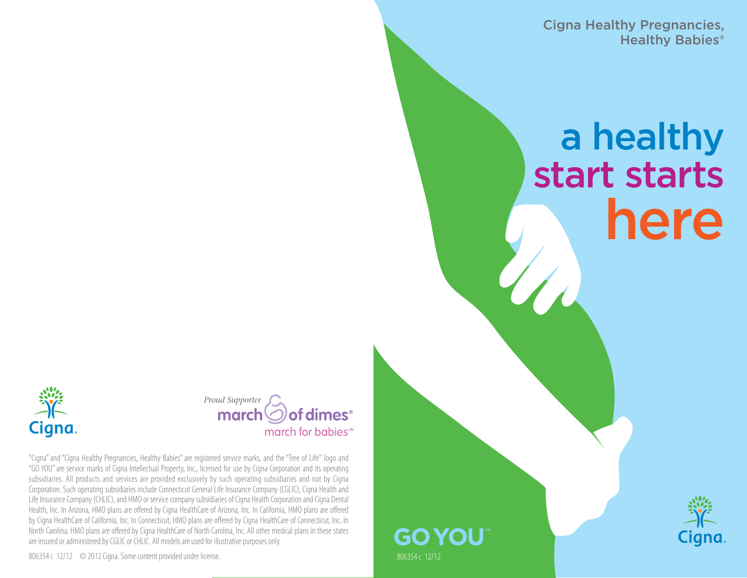Cigna Healthy Pregnancies, Healthy Babies®

## a healthy start starts here





806354 c 12/12

**GOYOU** 

"Cigna" and "Cigna Healthy Pregnancies, Healthy Babies" are registered service marks, and the "Tree of Life" logo and "GO YOU" are service marks of Cigna Intellectual Property, Inc., licensed for use by Cigna Corporation and its operating subsidiaries. All products and services are provided exclusively by such operating subsidiaries and not by Cigna Corporation. Such operating subsidiaries include Connecticut General Life Insurance Company (CGLIC), Cigna Health and Life Insurance Company (CHLIC), and HMO or service company subsidiaries of Cigna Health Corporation and Cigna Dental Health, Inc. In Arizona, HMO plans are offered by Cigna HealthCare of Arizona, Inc. In California, HMO plans are offered by Cigna HealthCare of California, Inc. In Connecticut, HMO plans are offered by Cigna HealthCare of Connecticut, Inc. In North Carolina, HMO plans are offered by Cigna HealthCare of North Carolina, Inc. All other medical plans in these states are insured or administered by CGLIC or CHLIC. All models are used for illustrative purposes only.

806354 c 12/12 © 2012 Cigna. Some content provided under license.